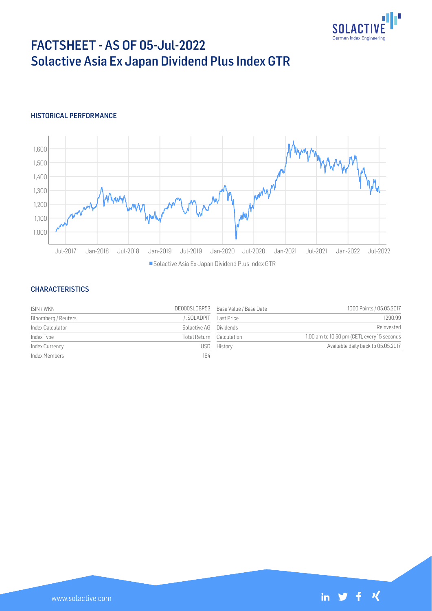

# FACTSHEET - AS OF 05-Jul-2022 Solactive Asia Ex Japan Dividend Plus Index GTR

## HISTORICAL PERFORMANCE



### **CHARACTERISTICS**

| ISIN / WKN          |                          | DE000SL0BP53 Base Value / Base Date | 1000 Points / 05.05.2017                    |
|---------------------|--------------------------|-------------------------------------|---------------------------------------------|
| Bloomberg / Reuters | SOLADPIT Last Price      |                                     | 1290.99                                     |
| Index Calculator    | Solactive AG Dividends   |                                     | Reinvested                                  |
| Index Type          | Total Return Calculation |                                     | 1:00 am to 10:50 pm (CET), every 15 seconds |
| Index Currency      |                          | USD History                         | Available daily back to 05.05.2017          |
| Index Members       | 164                      |                                     |                                             |

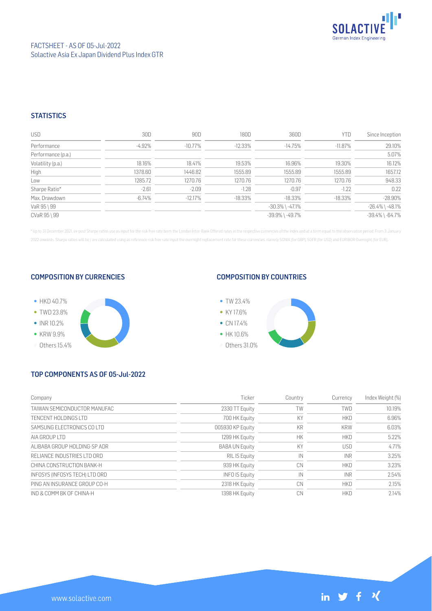

## **STATISTICS**

| <b>USD</b>         | 30D     | 90D       | 180D      | 360D                  | YTD        | Since Inception       |
|--------------------|---------|-----------|-----------|-----------------------|------------|-----------------------|
| Performance        | -4.92%  | -10.77%   | $-12.33%$ | $-14.75%$             | $-11.87\%$ | 29.10%                |
| Performance (p.a.) |         |           |           |                       |            | 5.07%                 |
| Volatility (p.a.)  | 18.16%  | 18.41%    | 19.53%    | 16.96%                | 19.30%     | 16.12%                |
| High               | 1378.60 | 1446.82   | 1555.89   | 1555.89               | 1555.89    | 1657.12               |
| Low                | 1285.72 | 1270.76   | 1270.76   | 1270.76               | 1270.76    | 948.33                |
| Sharpe Ratio*      | $-2.61$ | $-2.09$   | $-1.28$   | $-0.97$               | $-1.22$    | 0.22                  |
| Max. Drawdown      | -6.74%  | $-12.17%$ | $-18.33%$ | $-18.33\%$            | $-18.33\%$ | $-28.90%$             |
| VaR 95 \ 99        |         |           |           | $-30.3\%$ \ $-47.1\%$ |            | $-26.4\%$ \ $-48.1\%$ |
| CVaR 95 \ 99       |         |           |           | $-39.9\%$ \ $-49.7\%$ |            | $-39.4\%$ \ $-64.7\%$ |

\* Up to 31 December 2021, ex-post Sharpe ratios use as input for the risk free rate term the London Inter-Bank Offered rates in the respective currencies of the index and at a term equal to the observation period. From 3 J 2022 onwards, Sharpe ratios will be / are calculated using as reference risk free rate input the overnight replacement rate for these currencies, namely SONIA (for GBP), SOFR (for USD) and EURIBOR Overnight (for EUR).

#### COMPOSITION BY CURRENCIES



## COMPOSITION BY COUNTRIES



# TOP COMPONENTS AS OF 05-Jul-2022

| Company                        | Ticker                | Country   | Currency   | Index Weight (%) |
|--------------------------------|-----------------------|-----------|------------|------------------|
| TAIWAN SEMICONDUCTOR MANUFAC   | 2330 TT Equity        | TW        | <b>TWD</b> | 10.19%           |
| TENCENT HOLDINGS LTD           | 700 HK Equity         | KY        | <b>HKD</b> | 6.96%            |
| SAMSUNG ELECTRONICS COLTD      | 005930 KP Equity      | KR        | <b>KRW</b> | 6.03%            |
| AIA GROUP I TD                 | 1299 HK Equity        | <b>HK</b> | <b>HKD</b> | 5.22%            |
| ALIBABA GROUP HOLDING-SP ADR   | <b>BABA UN Equity</b> | KY        | <b>USD</b> | 4.71%            |
| RELIANCE INDUSTRIES LTD ORD    | RIL IS Equity         | IN        | <b>INR</b> | 3.25%            |
| CHINA CONSTRUCTION BANK-H      | 939 HK Equity         | CN        | <b>HKD</b> | 3.23%            |
| INFOSYS (INFOSYS TECH) LTD ORD | <b>INFO IS Equity</b> | IN        | <b>INR</b> | 2.54%            |
| PING AN INSURANCE GROUP CO-H   | 2318 HK Equity        | CN        | <b>HKD</b> | 2.15%            |
| IND & COMM BK OF CHINA-H       | 1398 HK Equity        | CN        | <b>HKD</b> | 2.14%            |